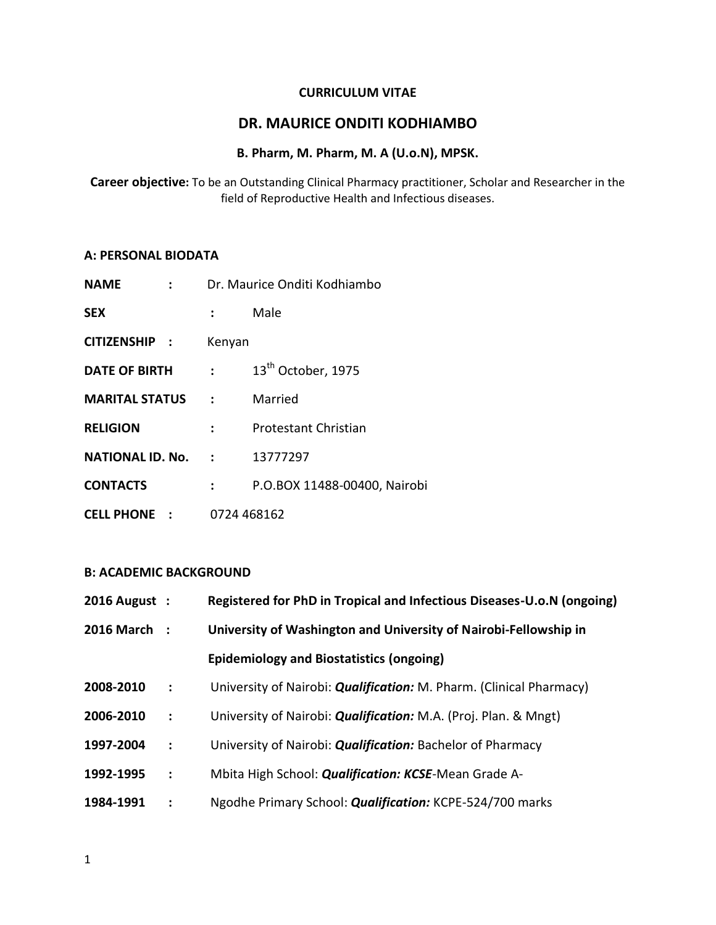## **CURRICULUM VITAE**

# **DR. MAURICE ONDITI KODHIAMBO**

# **B. Pharm, M. Pharm, M. A (U.o.N), MPSK.**

**Career objective:** To be an Outstanding Clinical Pharmacy practitioner, Scholar and Researcher in the field of Reproductive Health and Infectious diseases.

#### **A: PERSONAL BIODATA**

| <b>NAME</b>               |                   | Dr. Maurice Onditi Kodhiambo   |
|---------------------------|-------------------|--------------------------------|
| <b>SEX</b>                |                   | Male                           |
| <b>CITIZENSHIP :</b>      | Kenyan            |                                |
| <b>DATE OF BIRTH</b>      | $\sim$ 100 $\sim$ | 13 <sup>th</sup> October, 1975 |
| <b>MARITAL STATUS : :</b> |                   | Married                        |
| <b>RELIGION</b>           | $\ddot{\cdot}$    | <b>Protestant Christian</b>    |
| <b>NATIONAL ID. No. :</b> |                   | 13777297                       |
| <b>CONTACTS</b>           | $\ddot{\cdot}$    | P.O.BOX 11488-00400, Nairobi   |
| <b>CELL PHONE :</b>       |                   | 0724 468162                    |

### **B: ACADEMIC BACKGROUND**

| 2016 August : |                      | Registered for PhD in Tropical and Infectious Diseases-U.o.N (ongoing)     |
|---------------|----------------------|----------------------------------------------------------------------------|
| 2016 March :  |                      | University of Washington and University of Nairobi-Fellowship in           |
|               |                      | <b>Epidemiology and Biostatistics (ongoing)</b>                            |
| 2008-2010     | $\ddot{\cdot}$       | University of Nairobi: <i>Qualification:</i> M. Pharm. (Clinical Pharmacy) |
| 2006-2010     | $\ddot{\phantom{a}}$ | University of Nairobi: <b>Qualification:</b> M.A. (Proj. Plan. & Mngt)     |
| 1997-2004     | $\ddot{\phantom{a}}$ | University of Nairobi: <b>Qualification:</b> Bachelor of Pharmacy          |
| 1992-1995     | $\cdot$ :            | Mbita High School: Qualification: KCSE-Mean Grade A-                       |
| 1984-1991     | $\ddot{\phantom{a}}$ | Ngodhe Primary School: <b>Qualification:</b> KCPE-524/700 marks            |